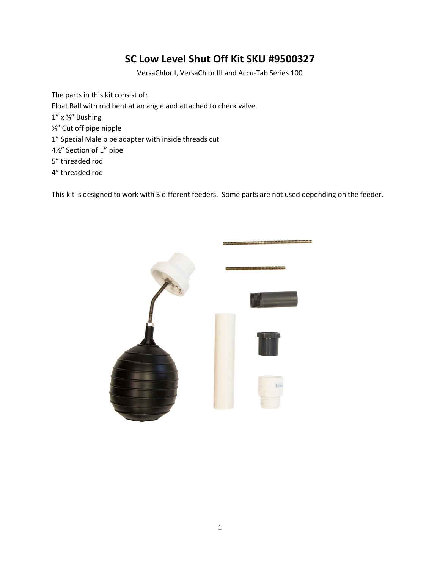## **SC Low Level Shut Off Kit SKU #9500327**

VersaChlor I, VersaChlor III and Accu-Tab Series 100

The parts in this kit consist of: Float Ball with rod bent at an angle and attached to check valve. 1" x ¾" Bushing ¾" Cut off pipe nipple 1" Special Male pipe adapter with inside threads cut 4½" Section of 1" pipe 5" threaded rod 4" threaded rod

This kit is designed to work with 3 different feeders. Some parts are not used depending on the feeder.

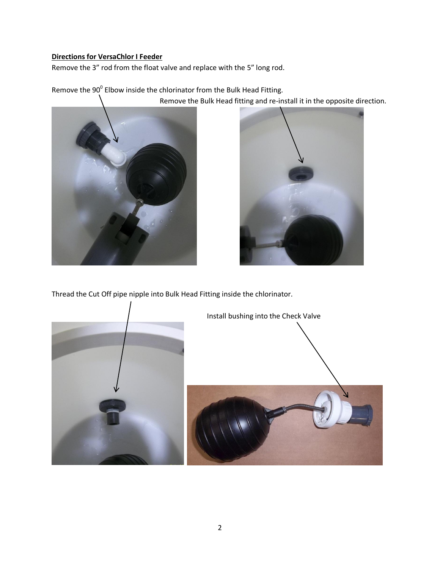## **Directions for VersaChlor I Feeder**

Remove the 3" rod from the float valve and replace with the 5" long rod.

Remove the 90 $^0$  Elbow inside the chlorinator from the Bulk Head Fitting.





Thread the Cut Off pipe nipple into Bulk Head Fitting inside the chlorinator.

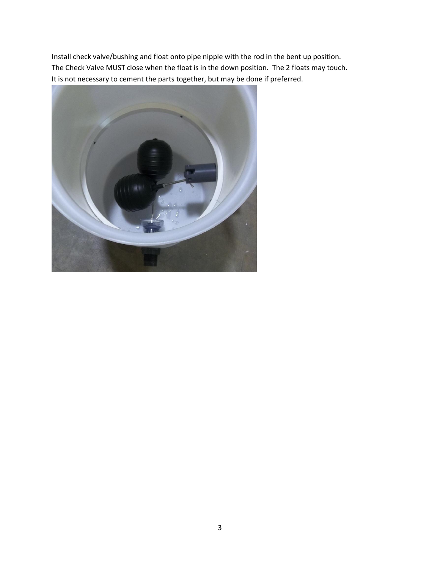Install check valve/bushing and float onto pipe nipple with the rod in the bent up position. The Check Valve MUST close when the float is in the down position. The 2 floats may touch. It is not necessary to cement the parts together, but may be done if preferred.

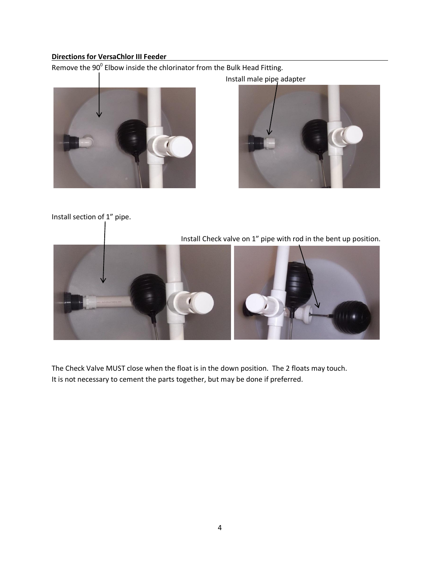## **Directions for VersaChlor III Feeder**

Remove the 90 $^0$  Elbow inside the chlorinator from the Bulk Head Fitting.





Install section of 1" pipe.



 $\begin{array}{c} \hline \end{array}$ 

The Check Valve MUST close when the float is in the down position. The 2 floats may touch. It is not necessary to cement the parts together, but may be done if preferred.